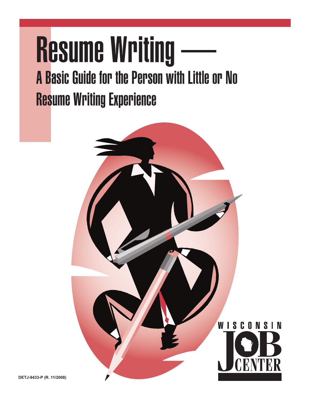# **Resume Writing** A Basic Guide for the Person with Little or No **Resume Writing Experience**

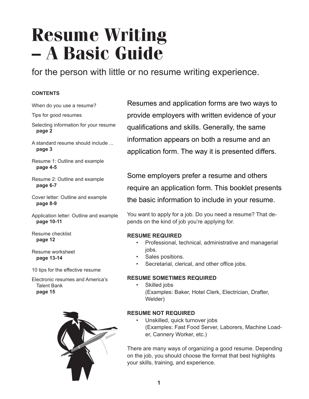## **Resume Writing – A Basic Guide**

for the person with little or no resume writing experience.

### **CONTENTS**

- When do you use a resume?
- Tips for good resumes
- Selecting information for your resume **page 2**
- A standard resume should include ... **page 3**
- Resume 1: Outline and example **page 4-5**
- Resume 2: Outline and example **page 6-7**
- Cover letter: Outline and example **page 8-9**
- Application letter: Outline and example **page 10-11**
- Resume checklist **page 12**

Resume worksheet **page 13-14**

10 tips for the effective resume

Electronic resumes and America's Talent Bank **page 15**



Resumes and application forms are two ways to provide employers with written evidence of your qualifications and skills. Generally, the same information appears on both a resume and an application form. The way it is presented differs.

Some employers prefer a resume and others require an application form. This booklet presents the basic information to include in your resume.

You want to apply for a job. Do you need a resume? That depends on the kind of job you're applying for.

### **RESUME REQUIRED**

- Professional, technical, administrative and managerial jobs.
- Sales positions.
- Secretarial, clerical, and other office jobs.

### **RESUME SOMETIMES REQUIRED**

Skilled jobs (Examples: Baker, Hotel Clerk, Electrician, Drafter, Welder)

### **RESUME NOT REQUIRED**

Unskilled, quick turnover jobs (Examples: Fast Food Server, Laborers, Machine Loader, Cannery Worker, etc.)

There are many ways of organizing a good resume. Depending on the job, you should choose the format that best highlights your skills, training, and experience.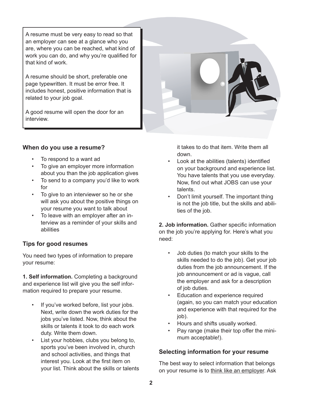A resume must be very easy to read so that an employer can see at a glance who you are, where you can be reached, what kind of work you can do, and why you're qualified for that kind of work.

A resume should be short, preferable one page typewritten. It must be error free. It includes honest, positive information that is related to your job goal.

A good resume will open the door for an interview.

### **When do you use a resume?**

- To respond to a want ad
- To give an employer more information about you than the job application gives
- To send to a company you'd like to work for
- To give to an interviewer so he or she will ask you about the positive things on your resume you want to talk about
- To leave with an employer after an interview as a reminder of your skills and abilities

### **Tips for good resumes**

You need two types of information to prepare your resume:

**1. Self information.** Completing a background and experience list will give you the self information required to prepare your resume.

- If you've worked before, list your jobs. Next, write down the work duties for the jobs you've listed. Now, think about the skills or talents it took to do each work duty. Write them down.
- List your hobbies, clubs you belong to, sports you've been involved in, church and school activities, and things that interest you. Look at the first item on your list. Think about the skills or talents



- Look at the abilities (talents) identified on your background and experience list. You have talents that you use everyday. Now, find out what JOBS can use your talents.
- Don't limit yourself. The important thing is not the job title, but the skills and abilities of the job.

**2. Job information.** Gather specific information on the job you're applying for. Here's what you need:

- Job duties (to match your skills to the skills needed to do the job). Get your job duties from the job announcement. If the job announcement or ad is vague, call the employer and ask for a description of job duties.
- Education and experience required (again, so you can match your education and experience with that required for the job).
- Hours and shifts usually worked.
- Pay range (make their top offer the minimum acceptable!).

### **Selecting information for your resume**

The best way to select information that belongs on your resume is to think like an employer. Ask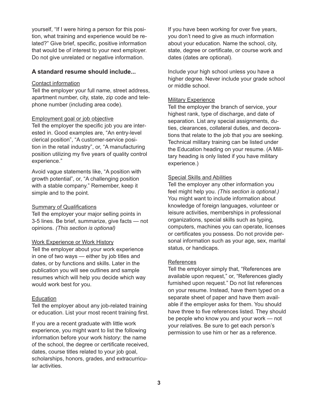yourself, "If I were hiring a person for this position, what training and experience would be related?" Give brief, specific, positive information that would be of interest to your next employer. Do not give unrelated or negative information.

### **A standard resume should include...**

### Contact information

Tell the employer your full name, street address, apartment number, city, state, zip code and telephone number (including area code).

### Employment goal or job objective

Tell the employer the specific job you are interested in. Good examples are, "An entry-level clerical position", "A customer-service position in the retail industry", or, "A manufacturing position utilizing my five years of quality control experience."

Avoid vague statements like, "A position with growth potential", or, "A challenging position with a stable company." Remember, keep it simple and to the point.

### Summary of Qualifications

Tell the employer your major selling points in 3-5 lines. Be brief, summarize, give facts — not opinions. *(This section is optional)*

### Work Experience or Work History

Tell the employer about your work experience in one of two ways — either by job titles and dates, or by functions and skills. Later in the publication you will see outlines and sample resumes which will help you decide which way would work best for you.

### **Education**

Tell the employer about any job-related training or education. List your most recent training first.

If you are a recent graduate with little work experience, you might want to list the following information before your work history: the name of the school, the degree or certificate received, dates, course titles related to your job goal, scholarships, honors, grades, and extracurricular activities.

If you have been working for over five years, you don't need to give as much information about your education. Name the school, city, state, degree or certificate, or course work and dates (dates are optional).

Include your high school unless you have a higher degree. Never include your grade school or middle school.

### **Military Experience**

Tell the employer the branch of service, your highest rank, type of discharge, and date of separation. List any special assignments, duties, clearances, collateral duties, and decorations that relate to the job that you are seeking. Technical military training can be listed under the Education heading on your resume. (A Military heading is only listed if you have military experience.)

### Special Skills and Abilities

Tell the employer any other information you feel might help you. *(This section is optional.)*  You might want to include information about knowledge of foreign languages, volunteer or leisure activities, memberships in professional organizations, special skills such as typing, computers, machines you can operate, licenses or certificates you possess. Do not provide personal information such as your age, sex, marital status, or handicaps.

### References

Tell the employer simply that, "References are available upon request," or, "References gladly furnished upon request." Do not list references on your resume. Instead, have them typed on a separate sheet of paper and have them available if the employer asks for them. You should have three to five references listed. They should be people who know you and your work — not your relatives. Be sure to get each person's permission to use him or her as a reference.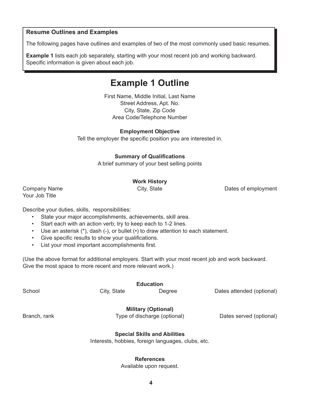### **Resume Outlines and Examples**

The following pages have outlines and examples of two of the most commonly used basic resumes.

**Example 1** lists each job separately, starting with your most recent job and working backward. Specific information is given about each job.

### **Example 1 Outline**

First Name, Middle Initial, Last Name Street Address, Apt. No. City, State, Zip Code Area Code/Telephone Number

### **Employment Objective**

Tell the employer the specific position you are interested in.

### **Summary of Qualifications**

A brief summary of your best selling points

### **Work History**

Company Name City, State City, State Dates of employment

Your Job Title

Describe your duties, skills, responsibilities:

- State your major accomplishments, achievements, skill area.
- Start each with an action verb; try to keep each to 1-2 lines.
- Use an asterisk (\*), dash (-), or bullet (•) to draw attention to each statement.
- Give specific results to show your qualifications.
- List your most important accomplishments first.

(Use the above format for additional employers. Start with your most recent job and work backward. Give the most space to more recent and more relevant work.)

|              |             | <b>Education</b>                                   |                           |
|--------------|-------------|----------------------------------------------------|---------------------------|
| School       | City, State | Degree                                             | Dates attended (optional) |
|              |             | <b>Military (Optional)</b>                         |                           |
| Branch, rank |             | Type of discharge (optional)                       | Dates served (optional)   |
|              |             | <b>Special Skills and Abilities</b>                |                           |
|              |             | Interests, hobbies, foreign languages, clubs, etc. |                           |
|              |             |                                                    |                           |

### **References**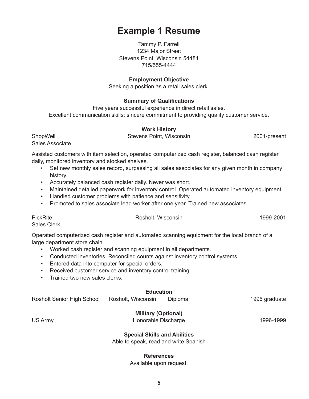### 1234 Major Street

**Example 1 Resume**

Tammy P. Farrell

Stevens Point, Wisconsin 54481 715/555-4444

#### **Employment Objective**

Seeking a position as a retail sales clerk.

#### **Summary of Qualifications**

Five years successful experience in direct retail sales. Excellent communication skills; sincere commitment to providing quality customer service.

#### **Work History**

ShopWell Stevens Point, Wisconsin 2001-present Sales Associate

Assisted customers with item selection, operated computerized cash register, balanced cash register daily, monitored inventory and stocked shelves.

- Set new monthly sales record, surpassing all sales associates for any given month in company history.
- Accurately balanced cash register daily. Never was short.
- Maintained detailed paperwork for inventory control. Operated automated inventory equipment.
- Handled customer problems with patience and sensitivity.
- Promoted to sales associate lead worker after one year. Trained new associates.

PickRite **Rosholt, Wisconsin** 2001 **Rosholt**, Wisconsin

Sales Clerk

Operated computerized cash register and automated scanning equipment for the local branch of a large department store chain.

- Worked cash register and scanning equipment in all departments.
- Conducted inventories. Reconciled counts against inventory control systems.
- Entered data into computer for special orders.
- Received customer service and inventory control training.
- Trained two new sales clerks.

### **Education**

Rosholt Senior High School Rosholt, Wisconsin Diploma 1996 graduate

#### **Military (Optional)**

US Army **Honorable Discharge 1996-1999** Honorable Discharge

#### **Special Skills and Abilities**

Able to speak, read and write Spanish

#### **References**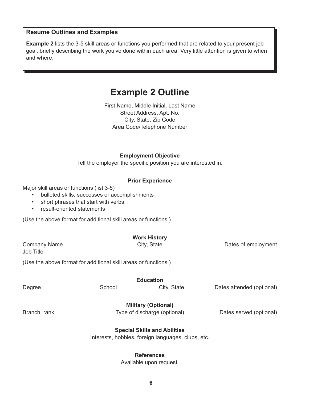### **Resume Outlines and Examples**

**Example 2** lists the 3-5 skill areas or functions you performed that are related to your present job goal, briefly describing the work you've done within each area. Very little attention is given to when and where.

### **Example 2 Outline**

First Name, Middle Initial, Last Name Street Address, Apt. No. City, State, Zip Code Area Code/Telephone Number

**Employment Objective**

Tell the employer the specific position you are interested in.

### **Prior Experience**

Major skill areas or functions (list 3-5)

- bulleted skills, successes or accomplishments
- short phrases that start with verbs
- result-oriented statements

(Use the above format for additional skill areas or functions.)

| <b>Company Name</b><br><b>Job Title</b> |                                                                 | <b>Work History</b><br>City, State                                                        | Dates of employment       |
|-----------------------------------------|-----------------------------------------------------------------|-------------------------------------------------------------------------------------------|---------------------------|
|                                         | (Use the above format for additional skill areas or functions.) |                                                                                           |                           |
|                                         |                                                                 | <b>Education</b>                                                                          |                           |
| Degree                                  | School                                                          | City, State                                                                               | Dates attended (optional) |
| Branch, rank                            |                                                                 | <b>Military (Optional)</b><br>Type of discharge (optional)                                | Dates served (optional)   |
|                                         |                                                                 | <b>Special Skills and Abilities</b><br>Interests, hobbies, foreign languages, clubs, etc. |                           |

### **References**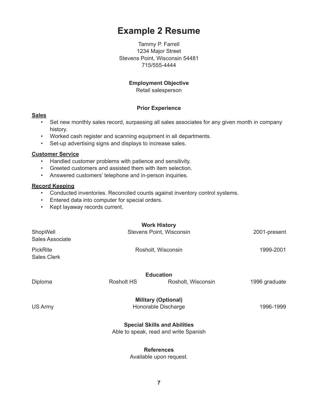### **Example 2 Resume**

Tammy P. Farrell 1234 Major Street Stevens Point, Wisconsin 54481 715/555-4444

### **Employment Objective**

Retail salesperson

### **Prior Experience**

#### **Sales**

- Set new monthly sales record, surpassing all sales associates for any given month in company history.
- Worked cash register and scanning equipment in all departments.
- Set-up advertising signs and displays to increase sales.

### **Customer Service**

- Handled customer problems with patience and sensitivity.
- Greeted customers and assisted them with item selection.
- Answered customers' telephone and in-person inquiries.

### **Record Keeping**

- Conducted inventories. Reconciled counts against inventory control systems.
- Entered data into computer for special orders.
- Kept layaway records current.

|                                       |            | <b>Work History</b>                                                          |               |
|---------------------------------------|------------|------------------------------------------------------------------------------|---------------|
| ShopWell<br>Sales Associate           |            | Stevens Point, Wisconsin                                                     | 2001-present  |
| <b>PickRite</b><br><b>Sales Clerk</b> |            | Rosholt, Wisconsin                                                           | 1999-2001     |
|                                       |            | <b>Education</b>                                                             |               |
| Diploma                               | Rosholt HS | Rosholt, Wisconsin                                                           | 1996 graduate |
| US Army                               |            | <b>Military (Optional)</b><br>Honorable Discharge                            | 1996-1999     |
|                                       |            | <b>Special Skills and Abilities</b><br>Able to speak, read and write Spanish |               |
|                                       |            |                                                                              |               |

### **References**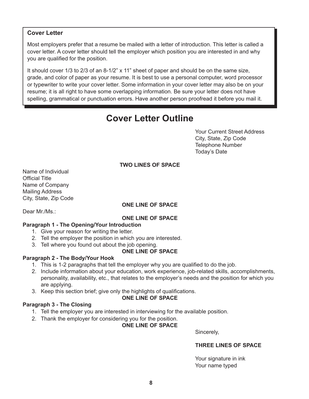### **Cover Letter**

Most employers prefer that a resume be mailed with a letter of introduction. This letter is called a cover letter. A cover letter should tell the employer which position you are interested in and why you are qualified for the position.

It should cover 1/3 to 2/3 of an 8-1/2" x 11" sheet of paper and should be on the same size, grade, and color of paper as your resume. It is best to use a personal computer, word processor or typewriter to write your cover letter. Some information in your cover letter may also be on your resume; it is all right to have some overlapping information. Be sure your letter does not have spelling, grammatical or punctuation errors. Have another person proofread it before you mail it.

### **Cover Letter Outline**

Your Current Street Address City, State, Zip Code Telephone Number Today's Date

### **TWO LINES OF SPACE**

Name of Individual Official Title Name of Company Mailing Address City, State, Zip Code

### **ONE LINE OF SPACE**

Dear Mr./Ms.:

### **ONE LINE OF SPACE**

### **Paragraph 1 - The Opening/Your Introduction**

- 1. Give your reason for writing the letter.
- 2. Tell the employer the position in which you are interested.
- 3. Tell where you found out about the job opening.

### **ONE LINE OF SPACE**

### **Paragraph 2 - The Body/Your Hook**

- 1. This is 1-2 paragraphs that tell the employer why you are qualified to do the job.
- 2. Include information about your education, work experience, job-related skills, accomplishments, personality, availability, etc., that relates to the employer's needs and the position for which you are applying.
- 3. Keep this section brief; give only the highlights of qualifications.

### **ONE LINE OF SPACE**

### **Paragraph 3 - The Closing**

- 1. Tell the employer you are interested in interviewing for the available position.
- 2. Thank the employer for considering you for the position.

### **ONE LINE OF SPACE**

Sincerely,

### **THREE LINES OF SPACE**

Your signature in ink Your name typed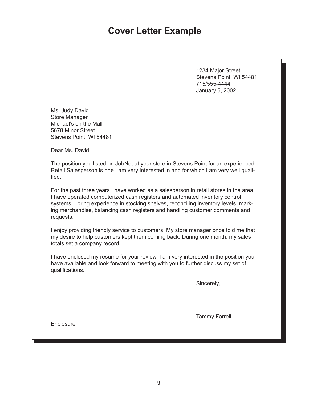### **Cover Letter Example**

1234 Major Street Stevens Point, WI 54481 715/555-4444 January 5, 2002

Ms. Judy David Store Manager Michael's on the Mall 5678 Minor Street Stevens Point, WI 54481

Dear Ms. David:

The position you listed on JobNet at your store in Stevens Point for an experienced Retail Salesperson is one I am very interested in and for which I am very well qualified.

For the past three years I have worked as a salesperson in retail stores in the area. I have operated computerized cash registers and automated inventory control systems. I bring experience in stocking shelves, reconciling inventory levels, marking merchandise, balancing cash registers and handling customer comments and requests.

I enjoy providing friendly service to customers. My store manager once told me that my desire to help customers kept them coming back. During one month, my sales totals set a company record.

I have enclosed my resume for your review. I am very interested in the position you have available and look forward to meeting with you to further discuss my set of qualifications.

Sincerely,

Tammy Farrell

**Enclosure**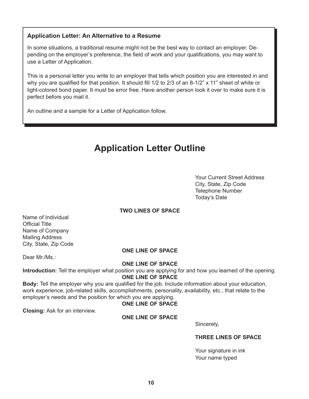### **Application Letter: An Alternative to a Resume**

In some situations, a traditional resume might not be the best way to contact an employer. Depending on the employer's preference, the field of work and your qualifications, you may want to use a Letter of Application.

This is a personal letter you write to an employer that tells which position you are interested in and why you are qualified for that position. It should fill 1/2 to 2/3 of an 8-1/2" x 11" sheet of white or light-colored bond paper. It must be error free. Have another person look it over to make sure it is perfect before you mail it.

An outline and a sample for a Letter of Application follow.

### **Application Letter Outline**

Your Current Street Address City, State, Zip Code Telephone Number Today's Date

### **TWO LINES OF SPACE**

Name of Individual Official Title Name of Company Mailing Address City, State, Zip Code

### **ONE LINE OF SPACE**

Dear Mr./Ms.:

### **ONE LINE OF SPACE**

**Introduction:** Tell the employer what position you are applying for and how you learned of the opening. **ONE LINE OF SPACE**

**Body:** Tell the employer why you are qualified for the job. Include information about your education, work experience, job-related skills, accomplishments, personality, availability, etc., that relate to the employer's needs and the position for which you are applying.

### **ONE LINE OF SPACE**

**Closing:** Ask for an interview.

### **ONE LINE OF SPACE**

Sincerely,

#### **THREE LINES OF SPACE**

Your signature in ink Your name typed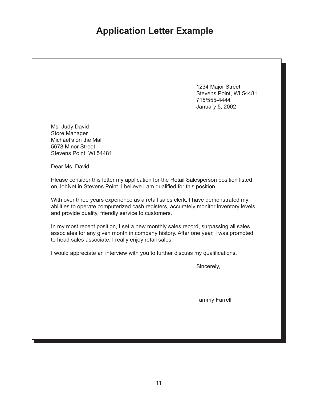### **Application Letter Example**

1234 Major Street Stevens Point, WI 54481 715/555-4444 January 5, 2002

Ms. Judy David Store Manager Michael's on the Mall 5678 Minor Street Stevens Point, WI 54481

Dear Ms. David:

Please consider this letter my application for the Retail Salesperson position listed on JobNet in Stevens Point. I believe I am qualified for this position.

With over three years experience as a retail sales clerk, I have demonstrated my abilities to operate computerized cash registers, accurately monitor inventory levels, and provide quality, friendly service to customers.

In my most recent position, I set a new monthly sales record, surpassing all sales associates for any given month in company history. After one year, I was promoted to head sales associate. I really enjoy retail sales.

I would appreciate an interview with you to further discuss my qualifications.

Sincerely,

Tammy Farrell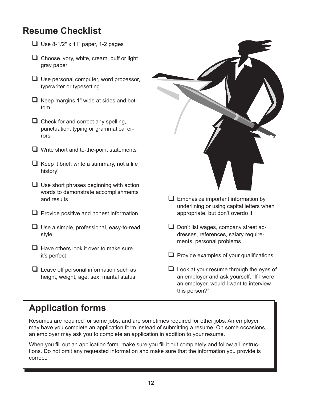### **Resume Checklist**

- $\Box$  Use 8-1/2" x 11" paper, 1-2 pages
- $\Box$  Choose ivory, white, cream, buff or light gray paper
- $\Box$  Use personal computer, word processor, typewriter or typesetting
- $\Box$  Keep margins 1" wide at sides and bottom
- $\Box$  Check for and correct any spelling, punctuation, typing or grammatical errors
- $\Box$  Write short and to-the-point statements
- $\Box$  Keep it brief; write a summary, not a life history!
- $\Box$  Use short phrases beginning with action words to demonstrate accomplishments and results
- $\Box$  Provide positive and honest information
- $\Box$  Use a simple, professional, easy-to-read style
- $\Box$  Have others look it over to make sure it's perfect
- $\Box$  Leave off personal information such as height, weight, age, sex, marital status



- $\Box$  Emphasize important information by underlining or using capital letters when appropriate, but don't overdo it
- $\Box$  Don't list wages, company street addresses, references, salary requirements, personal problems
- $\Box$  Provide examples of your qualifications
- $\Box$  Look at your resume through the eyes of an employer and ask yourself, "If I were an employer, would I want to interview this person?"

### **Application forms**

Resumes are required for some jobs, and are sometimes required for other jobs. An employer may have you complete an application form instead of submitting a resume. On some occasions, an employer may ask you to complete an application in addition to your resume.

When you fill out an application form, make sure you fill it out completely and follow all instructions. Do not omit any requested information and make sure that the information you provide is correct.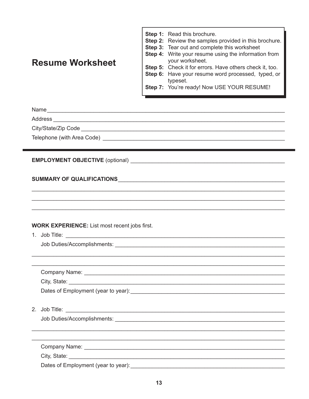### **Resume Worksheet**

Step 1: Read this brochure. Step 2: Review the samples provided in this brochure. Step 3: Tear out and complete this worksheet **Step 4:** Write your resume using the information from your worksheet. Step 5: Check it for errors. Have others check it, too. Step 6: Have your resume word processed, typed, or typeset. Step 7: You're ready! Now USE YOUR RESUME!

Address

### **EMPLOYMENT OBJECTIVE** (optional)

### 

### **WORK EXPERIENCE:** List most recent jobs first.

Job Duties/Accomplishments: Washington and Contract to the United States of the United States of the United States of the United States of the United States of the United States of the United States of the United States of

| Company Name:                       |
|-------------------------------------|
| City, State:                        |
| Dates of Employment (year to year): |

Job Duties/Accomplishments: We are a series of the series of the series of the series of the series of the series of the series of the series of the series of the series of the series of the series of the series of the ser

City, State:

Dates of Employment (year to year): Dates of Employment (year to year):

<u> 1989 - Johann Barbara, margaret eta idazlearia (h. 1989).</u>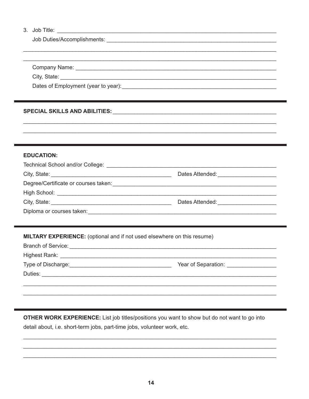### 3. Job Title: The Commission of the Commission of the Commission of the Commission of the Commission of the Commission of the Commission of the Commission of the Commission of the Commission of the Commission of the Commis

City, State: <u>City, State:</u> City, State: City, State: City, State: City, State: City, State: City, City, City, City, City, City, City, City, City, City, City, City, City, City, City, City, City, City, City, City, City, Cit

Dates of Employment (year to year): Dates of Employment (year to year):

### SPECIAL SKILLS AND ABILITIES: THE STATE OF STATE OF STATES AND STATES OF STATES OF STATES AND STATES.

### **EDUCATION:**

|                                                                                                                                                                                                                                | Dates Attended: _____________________        |  |
|--------------------------------------------------------------------------------------------------------------------------------------------------------------------------------------------------------------------------------|----------------------------------------------|--|
| Degree/Certificate or courses taken: example and a series of the series of the series of the series of the series of the series of the series of the series of the series of the series of the series of the series of the ser |                                              |  |
|                                                                                                                                                                                                                                |                                              |  |
|                                                                                                                                                                                                                                | Dates Attended: <u>_____________________</u> |  |
| Diploma or courses taken:                                                                                                                                                                                                      |                                              |  |

### MILTARY EXPERIENCE: (optional and if not used elsewhere on this resume)

| <b>Branch of Service:</b> | <u> 1980 - Jan James James James James James James James James James James James James James James James James J</u> |
|---------------------------|----------------------------------------------------------------------------------------------------------------------|
|                           |                                                                                                                      |
| Type of Discharge:        | Year of Separation: _____________                                                                                    |
| Duties:                   |                                                                                                                      |
|                           |                                                                                                                      |
|                           |                                                                                                                      |

OTHER WORK EXPERIENCE: List job titles/positions you want to show but do not want to go into detail about, i.e. short-term jobs, part-time jobs, volunteer work, etc.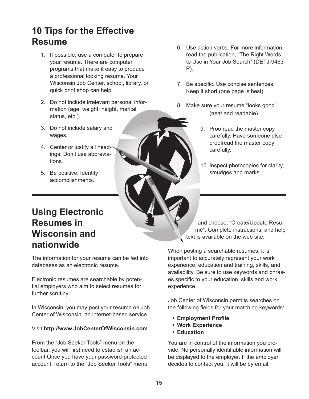### **10 Tips for the Effective Resume**

- 1. If possible, use a computer to prepare your resume. There are computer programs that make it easy to produce a professional looking resume. Your Wisconsin Job Center, school, library, or quick print shop can help.
- 2. Do not include irrelevant personal information (age, weight, height, marital status, etc.).
- 3. Do not include salary and wages.
- 4. Center or justify all headings. Don't use abbreviations.
- 5. Be positive. Identify accomplishments.

### **Using Electronic Resumes in Wisconsin and nationwide**

The information for your resume can be fed into databases as an electronic resume.

Electronic resumes are searchable by potential employers who aim to select resumes for further scrutiny.

In Wisconsin, you may post your resume on Job Center of Wisconsin, an internet-based service.

### Visit **http://www.JobCenterOfWisconsin.com**

From the "Job Seeker Tools" menu on the toolbar, you will first need to establish an account Once you have your password-protected account, return to the "Job Seeker Tools" menu

- 6. Use action verbs. For more information, read the publication, "The Right Words to Use in Your Job Search" (DETJ-9463- P).
- 7. Be specific. Use concise sentences, Keep it short (one page is best).
- 8. Make sure your resume "looks good" (neat and readable).
	- 9. Proofread the master copy carefully. Have someone else proofread the master copy carefully.
	- 10. Inspect photocopies for clarity, smudges and marks.

and choose, "Create/Update Résumé". Complete instructions, and help text is available on the web site.

When posting a searchable resumes, it is important to accurately represent your work experience, education and training, skills, and availability. Be sure to use keywords and phrases specific to your education, skills and work experience.

Job Center of Wisconsin permits searches on the following fields for your matching keywords:

- **• Employment Profile**
- **• Work Experience**
- **• Education**

You are in control of the information you provide. No personally identifiable information will be displayed to the employer. If the employer decides to contact you, it will be by email.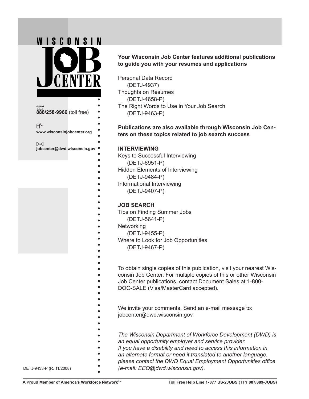

### **Your Wisconsin Job Center features additional publications to guide you with your resumes and applications**

Personal Data Record (DETJ-4937) Thoughts on Resumes (DETJ-4658-P) The Right Words to Use in Your Job Search (DETJ-9463-P)

**Publications are also available through Wisconsin Job Centers on these topics related to job search success**

### **INTERVIEWING**

Keys to Successful Interviewing

- (DETJ-6951-P)
- Hidden Elements of Interviewing
	- (DETJ-9484-P)
- Informational Interviewing
	- (DETJ-9407-P)

### **JOB SEARCH**

- Tips on Finding Summer Jobs
- (DETJ-5641-P)
- **Networking** 
	- (DETJ-9455-P)
- Where to Look for Job Opportunities
- (DETJ-9467-P)

- To obtain single copies of this publication, visit your nearest Wisconsin Job Center. For multiple copies of this or other Wisconsin
- Job Center publications, contact Document Sales at 1-800-
- DOC-SALE (Visa/MasterCard accepted).
- We invite your comments. Send an e-mail message to:
- jobcenter@dwd.wisconsin.gov
- - *The Wisconsin Department of Workforce Development (DWD) is*
	- *an equal opportunity employer and service provider.*
	- *If you have a disability and need to access this information in*
	- *an alternate format or need it translated to another language,*
	- *please contact the DWD Equal Employment Opportunities office*
- DETJ-9433-P (R. 11/2008) *(e-mail: EEO@dwd.wisconsin.gov).*